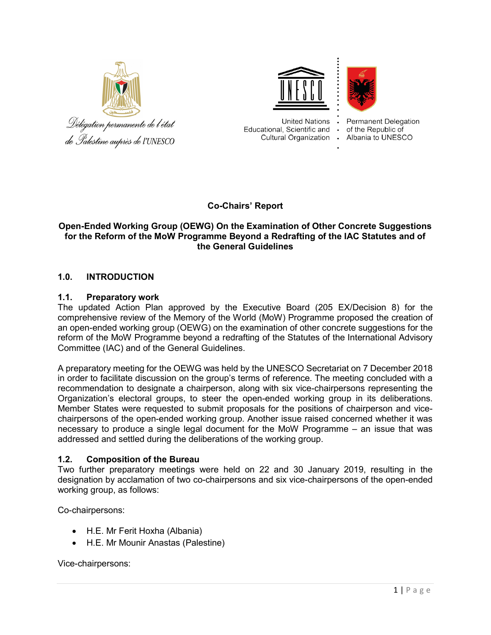





**United Nations** Educational, Scientific and Cultural Organization .

**Permanent Delegation** of the Republic of Albania to UNESCO

# Co-Chairs' Report

# Open-Ended Working Group (OEWG) On the Examination of Other Concrete Suggestions for the Reform of the MoW Programme Beyond a Redrafting of the IAC Statutes and of the General Guidelines

# 1.0. INTRODUCTION

## 1.1. Preparatory work

The updated Action Plan approved by the Executive Board (205 EX/Decision 8) for the comprehensive review of the Memory of the World (MoW) Programme proposed the creation of an open-ended working group (OEWG) on the examination of other concrete suggestions for the reform of the MoW Programme beyond a redrafting of the Statutes of the International Advisory Committee (IAC) and of the General Guidelines.

A preparatory meeting for the OEWG was held by the UNESCO Secretariat on 7 December 2018 in order to facilitate discussion on the group's terms of reference. The meeting concluded with a recommendation to designate a chairperson, along with six vice-chairpersons representing the Organization's electoral groups, to steer the open-ended working group in its deliberations. Member States were requested to submit proposals for the positions of chairperson and vicechairpersons of the open-ended working group. Another issue raised concerned whether it was necessary to produce a single legal document for the MoW Programme – an issue that was addressed and settled during the deliberations of the working group.

## 1.2. Composition of the Bureau

Two further preparatory meetings were held on 22 and 30 January 2019, resulting in the designation by acclamation of two co-chairpersons and six vice-chairpersons of the open-ended working group, as follows:

Co-chairpersons:

- H.E. Mr Ferit Hoxha (Albania)
- H.E. Mr Mounir Anastas (Palestine)

Vice-chairpersons: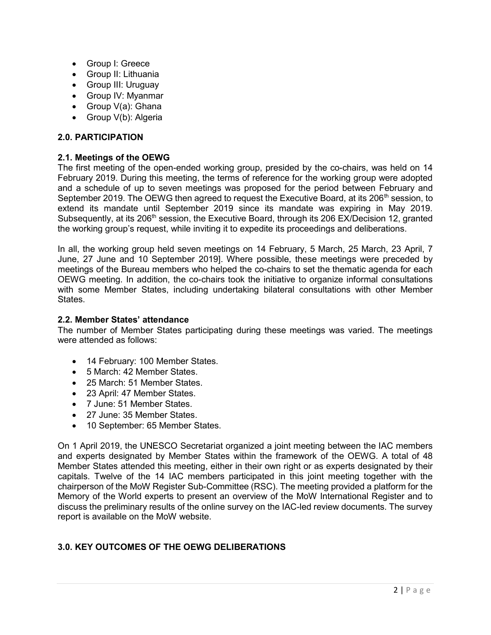- Group I: Greece
- Group II: Lithuania
- Group III: Uruguay
- Group IV: Myanmar
- Group V(a): Ghana
- Group V(b): Algeria

### 2.0. PARTICIPATION

### 2.1. Meetings of the OEWG

The first meeting of the open-ended working group, presided by the co-chairs, was held on 14 February 2019. During this meeting, the terms of reference for the working group were adopted and a schedule of up to seven meetings was proposed for the period between February and September 2019. The OEWG then agreed to request the Executive Board, at its 206<sup>th</sup> session, to extend its mandate until September 2019 since its mandate was expiring in May 2019. Subsequently, at its 206<sup>th</sup> session, the Executive Board, through its 206 EX/Decision 12, granted the working group's request, while inviting it to expedite its proceedings and deliberations.

In all, the working group held seven meetings on 14 February, 5 March, 25 March, 23 April, 7 June, 27 June and 10 September 2019]. Where possible, these meetings were preceded by meetings of the Bureau members who helped the co-chairs to set the thematic agenda for each OEWG meeting. In addition, the co-chairs took the initiative to organize informal consultations with some Member States, including undertaking bilateral consultations with other Member **States** 

#### 2.2. Member States' attendance

The number of Member States participating during these meetings was varied. The meetings were attended as follows:

- 14 February: 100 Member States.
- 5 March: 42 Member States.
- 25 March: 51 Member States.
- 23 April: 47 Member States.
- 7 June: 51 Member States.
- 27 June: 35 Member States.
- 10 September: 65 Member States.

On 1 April 2019, the UNESCO Secretariat organized a joint meeting between the IAC members and experts designated by Member States within the framework of the OEWG. A total of 48 Member States attended this meeting, either in their own right or as experts designated by their capitals. Twelve of the 14 IAC members participated in this joint meeting together with the chairperson of the MoW Register Sub-Committee (RSC). The meeting provided a platform for the Memory of the World experts to present an overview of the MoW International Register and to discuss the preliminary results of the online survey on the IAC-led review documents. The survey report is available on the MoW website.

# 3.0. KEY OUTCOMES OF THE OEWG DELIBERATIONS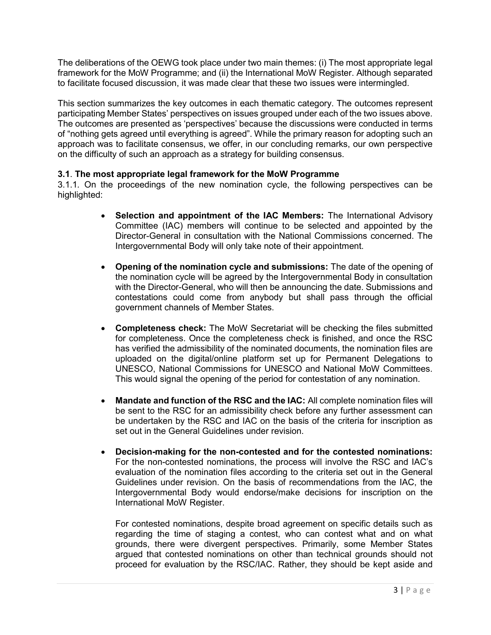The deliberations of the OEWG took place under two main themes: (i) The most appropriate legal framework for the MoW Programme; and (ii) the International MoW Register. Although separated to facilitate focused discussion, it was made clear that these two issues were intermingled.

This section summarizes the key outcomes in each thematic category. The outcomes represent participating Member States' perspectives on issues grouped under each of the two issues above. The outcomes are presented as 'perspectives' because the discussions were conducted in terms of "nothing gets agreed until everything is agreed". While the primary reason for adopting such an approach was to facilitate consensus, we offer, in our concluding remarks, our own perspective on the difficulty of such an approach as a strategy for building consensus.

# 3.1. The most appropriate legal framework for the MoW Programme

3.1.1. On the proceedings of the new nomination cycle, the following perspectives can be highlighted:

- Selection and appointment of the IAC Members: The International Advisory Committee (IAC) members will continue to be selected and appointed by the Director-General in consultation with the National Commissions concerned. The Intergovernmental Body will only take note of their appointment.
- Opening of the nomination cycle and submissions: The date of the opening of the nomination cycle will be agreed by the Intergovernmental Body in consultation with the Director-General, who will then be announcing the date. Submissions and contestations could come from anybody but shall pass through the official government channels of Member States.
- Completeness check: The MoW Secretariat will be checking the files submitted for completeness. Once the completeness check is finished, and once the RSC has verified the admissibility of the nominated documents, the nomination files are uploaded on the digital/online platform set up for Permanent Delegations to UNESCO, National Commissions for UNESCO and National MoW Committees. This would signal the opening of the period for contestation of any nomination.
- Mandate and function of the RSC and the IAC: All complete nomination files will be sent to the RSC for an admissibility check before any further assessment can be undertaken by the RSC and IAC on the basis of the criteria for inscription as set out in the General Guidelines under revision.
- Decision-making for the non-contested and for the contested nominations: For the non-contested nominations, the process will involve the RSC and IAC's evaluation of the nomination files according to the criteria set out in the General Guidelines under revision. On the basis of recommendations from the IAC, the Intergovernmental Body would endorse/make decisions for inscription on the International MoW Register.

For contested nominations, despite broad agreement on specific details such as regarding the time of staging a contest, who can contest what and on what grounds, there were divergent perspectives. Primarily, some Member States argued that contested nominations on other than technical grounds should not proceed for evaluation by the RSC/IAC. Rather, they should be kept aside and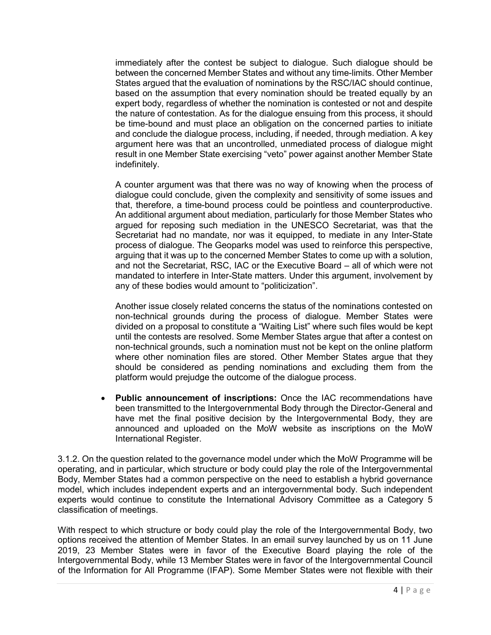immediately after the contest be subject to dialogue. Such dialogue should be between the concerned Member States and without any time-limits. Other Member States argued that the evaluation of nominations by the RSC/IAC should continue, based on the assumption that every nomination should be treated equally by an expert body, regardless of whether the nomination is contested or not and despite the nature of contestation. As for the dialogue ensuing from this process, it should be time-bound and must place an obligation on the concerned parties to initiate and conclude the dialogue process, including, if needed, through mediation. A key argument here was that an uncontrolled, unmediated process of dialogue might result in one Member State exercising "veto" power against another Member State indefinitely.

A counter argument was that there was no way of knowing when the process of dialogue could conclude, given the complexity and sensitivity of some issues and that, therefore, a time-bound process could be pointless and counterproductive. An additional argument about mediation, particularly for those Member States who argued for reposing such mediation in the UNESCO Secretariat, was that the Secretariat had no mandate, nor was it equipped, to mediate in any Inter-State process of dialogue. The Geoparks model was used to reinforce this perspective, arguing that it was up to the concerned Member States to come up with a solution, and not the Secretariat, RSC, IAC or the Executive Board – all of which were not mandated to interfere in Inter-State matters. Under this argument, involvement by any of these bodies would amount to "politicization".

Another issue closely related concerns the status of the nominations contested on non-technical grounds during the process of dialogue. Member States were divided on a proposal to constitute a "Waiting List" where such files would be kept until the contests are resolved. Some Member States argue that after a contest on non-technical grounds, such a nomination must not be kept on the online platform where other nomination files are stored. Other Member States argue that they should be considered as pending nominations and excluding them from the platform would prejudge the outcome of the dialogue process.

• Public announcement of inscriptions: Once the IAC recommendations have been transmitted to the Intergovernmental Body through the Director-General and have met the final positive decision by the Intergovernmental Body, they are announced and uploaded on the MoW website as inscriptions on the MoW International Register.

3.1.2. On the question related to the governance model under which the MoW Programme will be operating, and in particular, which structure or body could play the role of the Intergovernmental Body, Member States had a common perspective on the need to establish a hybrid governance model, which includes independent experts and an intergovernmental body. Such independent experts would continue to constitute the International Advisory Committee as a Category 5 classification of meetings.

With respect to which structure or body could play the role of the Intergovernmental Body, two options received the attention of Member States. In an email survey launched by us on 11 June 2019, 23 Member States were in favor of the Executive Board playing the role of the Intergovernmental Body, while 13 Member States were in favor of the Intergovernmental Council of the Information for All Programme (IFAP). Some Member States were not flexible with their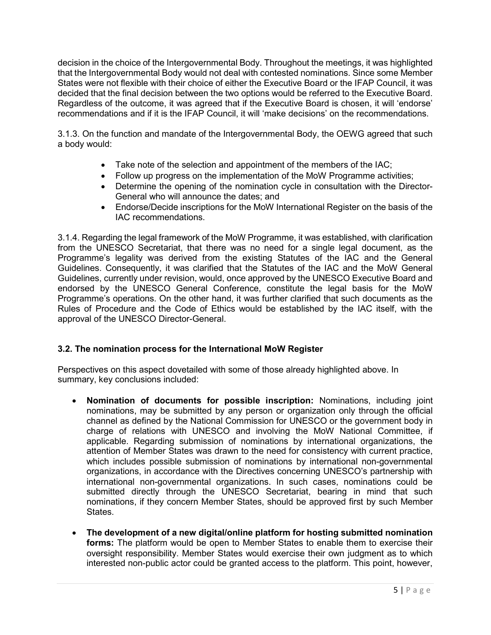decision in the choice of the Intergovernmental Body. Throughout the meetings, it was highlighted that the Intergovernmental Body would not deal with contested nominations. Since some Member States were not flexible with their choice of either the Executive Board or the IFAP Council, it was decided that the final decision between the two options would be referred to the Executive Board. Regardless of the outcome, it was agreed that if the Executive Board is chosen, it will 'endorse' recommendations and if it is the IFAP Council, it will 'make decisions' on the recommendations.

3.1.3. On the function and mandate of the Intergovernmental Body, the OEWG agreed that such a body would:

- Take note of the selection and appointment of the members of the IAC;
- Follow up progress on the implementation of the MoW Programme activities;
- Determine the opening of the nomination cycle in consultation with the Director-General who will announce the dates; and
- Endorse/Decide inscriptions for the MoW International Register on the basis of the IAC recommendations.

3.1.4. Regarding the legal framework of the MoW Programme, it was established, with clarification from the UNESCO Secretariat, that there was no need for a single legal document, as the Programme's legality was derived from the existing Statutes of the IAC and the General Guidelines. Consequently, it was clarified that the Statutes of the IAC and the MoW General Guidelines, currently under revision, would, once approved by the UNESCO Executive Board and endorsed by the UNESCO General Conference, constitute the legal basis for the MoW Programme's operations. On the other hand, it was further clarified that such documents as the Rules of Procedure and the Code of Ethics would be established by the IAC itself, with the approval of the UNESCO Director-General.

## 3.2. The nomination process for the International MoW Register

Perspectives on this aspect dovetailed with some of those already highlighted above. In summary, key conclusions included:

- Nomination of documents for possible inscription: Nominations, including joint nominations, may be submitted by any person or organization only through the official channel as defined by the National Commission for UNESCO or the government body in charge of relations with UNESCO and involving the MoW National Committee, if applicable. Regarding submission of nominations by international organizations, the attention of Member States was drawn to the need for consistency with current practice, which includes possible submission of nominations by international non-governmental organizations, in accordance with the Directives concerning UNESCO's partnership with international non-governmental organizations. In such cases, nominations could be submitted directly through the UNESCO Secretariat, bearing in mind that such nominations, if they concern Member States, should be approved first by such Member States.
- The development of a new digital/online platform for hosting submitted nomination forms: The platform would be open to Member States to enable them to exercise their oversight responsibility. Member States would exercise their own judgment as to which interested non-public actor could be granted access to the platform. This point, however,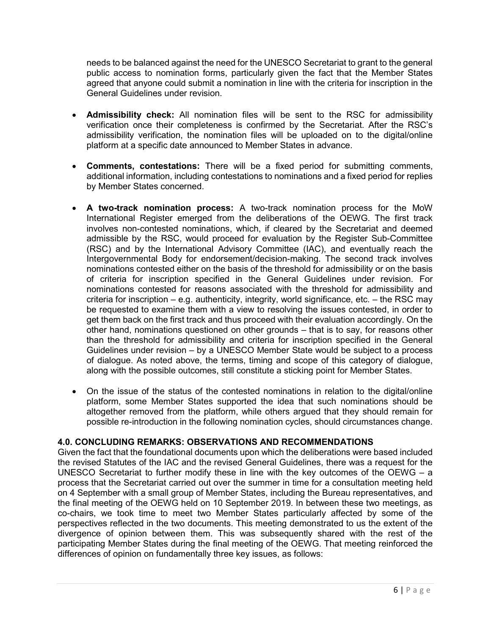needs to be balanced against the need for the UNESCO Secretariat to grant to the general public access to nomination forms, particularly given the fact that the Member States agreed that anyone could submit a nomination in line with the criteria for inscription in the General Guidelines under revision.

- Admissibility check: All nomination files will be sent to the RSC for admissibility verification once their completeness is confirmed by the Secretariat. After the RSC's admissibility verification, the nomination files will be uploaded on to the digital/online platform at a specific date announced to Member States in advance.
- Comments, contestations: There will be a fixed period for submitting comments, additional information, including contestations to nominations and a fixed period for replies by Member States concerned.
- A two-track nomination process: A two-track nomination process for the MoW International Register emerged from the deliberations of the OEWG. The first track involves non-contested nominations, which, if cleared by the Secretariat and deemed admissible by the RSC, would proceed for evaluation by the Register Sub-Committee (RSC) and by the International Advisory Committee (IAC), and eventually reach the Intergovernmental Body for endorsement/decision-making. The second track involves nominations contested either on the basis of the threshold for admissibility or on the basis of criteria for inscription specified in the General Guidelines under revision. For nominations contested for reasons associated with the threshold for admissibility and criteria for inscription – e.g. authenticity, integrity, world significance, etc. – the RSC may be requested to examine them with a view to resolving the issues contested, in order to get them back on the first track and thus proceed with their evaluation accordingly. On the other hand, nominations questioned on other grounds – that is to say, for reasons other than the threshold for admissibility and criteria for inscription specified in the General Guidelines under revision – by a UNESCO Member State would be subject to a process of dialogue. As noted above, the terms, timing and scope of this category of dialogue, along with the possible outcomes, still constitute a sticking point for Member States.
- On the issue of the status of the contested nominations in relation to the digital/online platform, some Member States supported the idea that such nominations should be altogether removed from the platform, while others argued that they should remain for possible re-introduction in the following nomination cycles, should circumstances change.

## 4.0. CONCLUDING REMARKS: OBSERVATIONS AND RECOMMENDATIONS

Given the fact that the foundational documents upon which the deliberations were based included the revised Statutes of the IAC and the revised General Guidelines, there was a request for the UNESCO Secretariat to further modify these in line with the key outcomes of the OEWG – a process that the Secretariat carried out over the summer in time for a consultation meeting held on 4 September with a small group of Member States, including the Bureau representatives, and the final meeting of the OEWG held on 10 September 2019. In between these two meetings, as co-chairs, we took time to meet two Member States particularly affected by some of the perspectives reflected in the two documents. This meeting demonstrated to us the extent of the divergence of opinion between them. This was subsequently shared with the rest of the participating Member States during the final meeting of the OEWG. That meeting reinforced the differences of opinion on fundamentally three key issues, as follows: